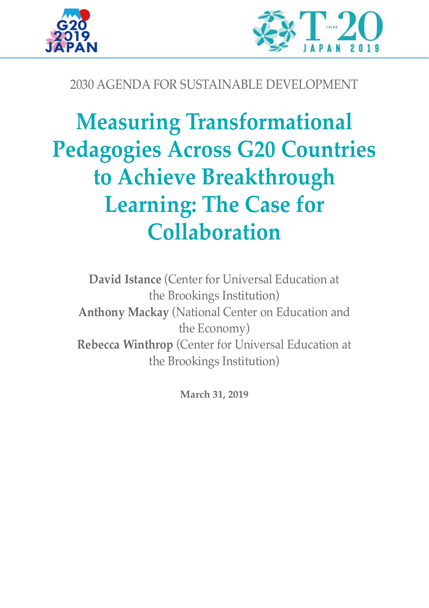



## 2030 AGENDA FOR SUSTAINABLE DEVELOPMENT

# **Measuring Transformational Pedagogies Across G20 Countries to Achieve Breakthrough Learning: The Case for Collaboration**

**David Istance** (Center for Universal Education at the Brookings Institution) **Anthony Mackay** (National Center on Education and the Economy) **Rebecca Winthrop** (Center for Universal Education at the Brookings Institution)

**March 31, 2019**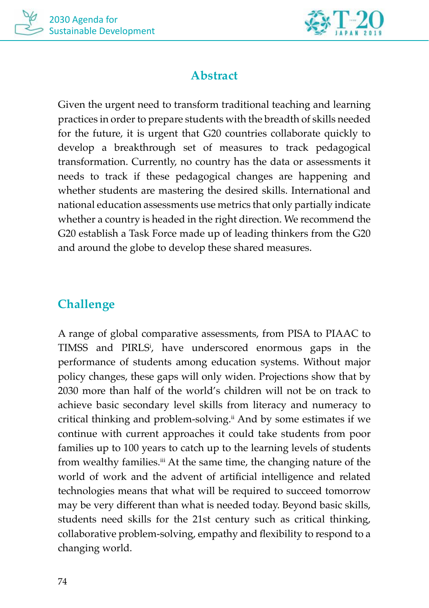



## **Abstract**

Given the urgent need to transform traditional teaching and learning practices in order to prepare students with the breadth of skills needed for the future, it is urgent that G20 countries collaborate quickly to develop a breakthrough set of measures to track pedagogical transformation. Currently, no country has the data or assessments it needs to track if these pedagogical changes are happening and whether students are mastering the desired skills. International and national education assessments use metrics that only partially indicate whether a country is headed in the right direction. We recommend the G20 establish a Task Force made up of leading thinkers from the G20 and around the globe to develop these shared measures.

## **Challenge**

A range of global comparative assessments, from PISA to PIAAC to TIMSS and PIRLS<sup>ⅰ</sup> , have underscored enormous gaps in the performance of students among education systems. Without major policy changes, these gaps will only widen. Projections show that by 2030 more than half of the world's children will not be on track to achieve basic secondary level skills from literacy and numeracy to critical thinking and problem-solving.<sup>ⅱ</sup> And by some estimates if we continue with current approaches it could take students from poor families up to 100 years to catch up to the learning levels of students from wealthy families.<sup>ⅲ</sup> At the same time, the changing nature of the world of work and the advent of artificial intelligence and related technologies means that what will be required to succeed tomorrow may be very different than what is needed today. Beyond basic skills, students need skills for the 21st century such as critical thinking, collaborative problem-solving, empathy and flexibility to respond to a changing world.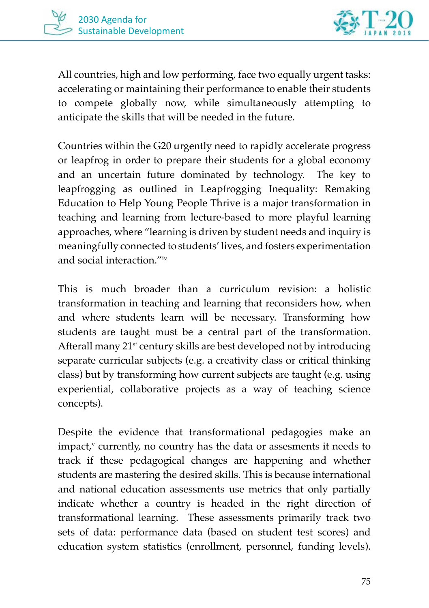



All countries, high and low performing, face two equally urgent tasks: accelerating or maintaining their performance to enable their students to compete globally now, while simultaneously attempting to anticipate the skills that will be needed in the future.

Countries within the G20 urgently need to rapidly accelerate progress or leapfrog in order to prepare their students for a global economy and an uncertain future dominated by technology. The key to leapfrogging as outlined in Leapfrogging Inequality: Remaking Education to Help Young People Thrive is a major transformation in teaching and learning from lecture-based to more playful learning approaches, where "learning is driven by student needs and inquiry is meaningfully connected to students' lives, and fosters experimentation and social interaction."<sup>ⅳ</sup>

This is much broader than a curriculum revision: a holistic transformation in teaching and learning that reconsiders how, when and where students learn will be necessary. Transforming how students are taught must be a central part of the transformation. Afterall many 21<sup>st</sup> century skills are best developed not by introducing separate curricular subjects (e.g. a creativity class or critical thinking class) but by transforming how current subjects are taught (e.g. using experiential, collaborative projects as a way of teaching science concepts).

Despite the evidence that transformational pedagogies make an impact,<sup>ⅴ</sup> currently, no country has the data or assesments it needs to track if these pedagogical changes are happening and whether students are mastering the desired skills. This is because international and national education assessments use metrics that only partially indicate whether a country is headed in the right direction of transformational learning. These assessments primarily track two sets of data: performance data (based on student test scores) and education system statistics (enrollment, personnel, funding levels).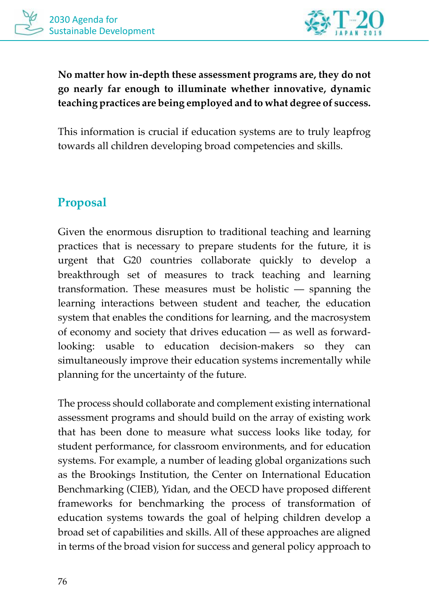

**No matter how in-depth these assessment programs are, they do not go nearly far enough to illuminate whether innovative, dynamic teaching practices are being employed and to what degree of success.** 

This information is crucial if education systems are to truly leapfrog towards all children developing broad competencies and skills.

## **Proposal**

Given the enormous disruption to traditional teaching and learning practices that is necessary to prepare students for the future, it is urgent that G20 countries collaborate quickly to develop a breakthrough set of measures to track teaching and learning transformation. These measures must be holistic — spanning the learning interactions between student and teacher, the education system that enables the conditions for learning, and the macrosystem of economy and society that drives education — as well as forwardlooking: usable to education decision-makers so they can simultaneously improve their education systems incrementally while planning for the uncertainty of the future.

The process should collaborate and complement existing international assessment programs and should build on the array of existing work that has been done to measure what success looks like today, for student performance, for classroom environments, and for education systems. For example, a number of leading global organizations such as the Brookings Institution, the Center on International Education Benchmarking (CIEB), Yidan, and the OECD have proposed different frameworks for benchmarking the process of transformation of education systems towards the goal of helping children develop a broad set of capabilities and skills. All of these approaches are aligned in terms of the broad vision for success and general policy approach to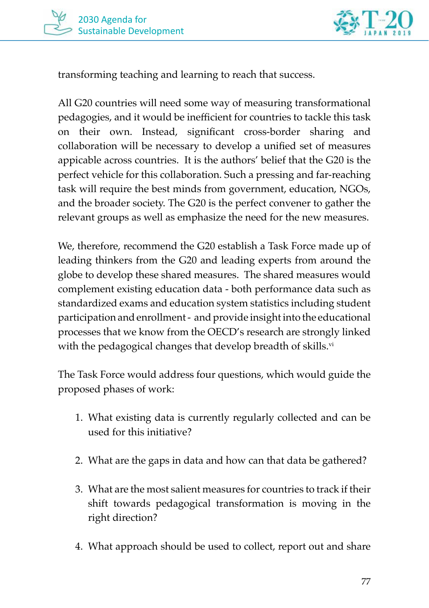

transforming teaching and learning to reach that success.

All G20 countries will need some way of measuring transformational pedagogies, and it would be inefficient for countries to tackle this task on their own. Instead, significant cross-border sharing and collaboration will be necessary to develop a unified set of measures appicable across countries. It is the authors' belief that the G20 is the perfect vehicle for this collaboration. Such a pressing and far-reaching task will require the best minds from government, education, NGOs, and the broader society. The G20 is the perfect convener to gather the relevant groups as well as emphasize the need for the new measures.

We, therefore, recommend the G20 establish a Task Force made up of leading thinkers from the G20 and leading experts from around the globe to develop these shared measures. The shared measures would complement existing education data - both performance data such as standardized exams and education system statistics including student participation and enrollment - and provide insight into the educational processes that we know from the OECD's research are strongly linked with the pedagogical changes that develop breadth of skills.<sup>vi</sup>

The Task Force would address four questions, which would guide the proposed phases of work:

- 1. What existing data is currently regularly collected and can be used for this initiative?
- 2. What are the gaps in data and how can that data be gathered?
- 3. What are the most salient measures for countries to track if their shift towards pedagogical transformation is moving in the right direction?
- 4. What approach should be used to collect, report out and share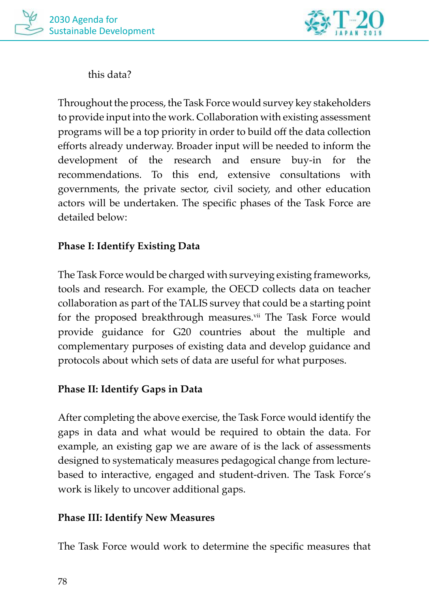

this data?

Throughout the process, the Task Force would survey key stakeholders to provide input into the work. Collaboration with existing assessment programs will be a top priority in order to build off the data collection efforts already underway. Broader input will be needed to inform the development of the research and ensure buy-in for the recommendations. To this end, extensive consultations with governments, the private sector, civil society, and other education actors will be undertaken. The specific phases of the Task Force are detailed below:

#### **Phase I: Identify Existing Data**

The Task Force would be charged with surveying existing frameworks, tools and research. For example, the OECD collects data on teacher collaboration as part of the TALIS survey that could be a starting point for the proposed breakthrough measures.<sup>ⅶ</sup> The Task Force would provide guidance for G20 countries about the multiple and complementary purposes of existing data and develop guidance and protocols about which sets of data are useful for what purposes.

#### **Phase II: Identify Gaps in Data**

After completing the above exercise, the Task Force would identify the gaps in data and what would be required to obtain the data. For example, an existing gap we are aware of is the lack of assessments designed to systematicaly measures pedagogical change from lecturebased to interactive, engaged and student-driven. The Task Force's work is likely to uncover additional gaps.

#### **Phase III: Identify New Measures**

The Task Force would work to determine the specific measures that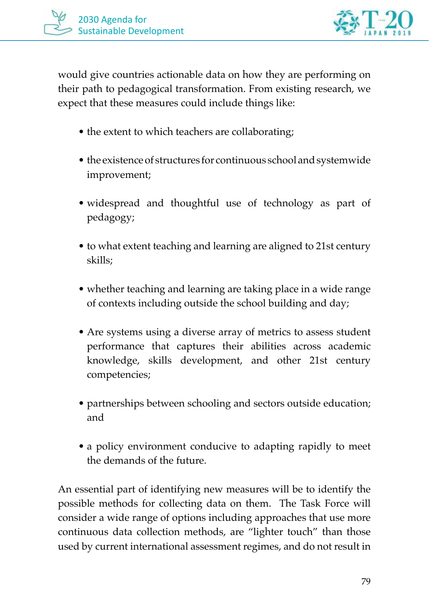

would give countries actionable data on how they are performing on their path to pedagogical transformation. From existing research, we expect that these measures could include things like:

- the extent to which teachers are collaborating;
- the existence of structures for continuous school and systemwide improvement;
- widespread and thoughtful use of technology as part of pedagogy;
- to what extent teaching and learning are aligned to 21st century skills;
- whether teaching and learning are taking place in a wide range of contexts including outside the school building and day;
- Are systems using a diverse array of metrics to assess student performance that captures their abilities across academic knowledge, skills development, and other 21st century competencies;
- partnerships between schooling and sectors outside education; and
- a policy environment conducive to adapting rapidly to meet the demands of the future.

An essential part of identifying new measures will be to identify the possible methods for collecting data on them. The Task Force will consider a wide range of options including approaches that use more continuous data collection methods, are "lighter touch" than those used by current international assessment regimes, and do not result in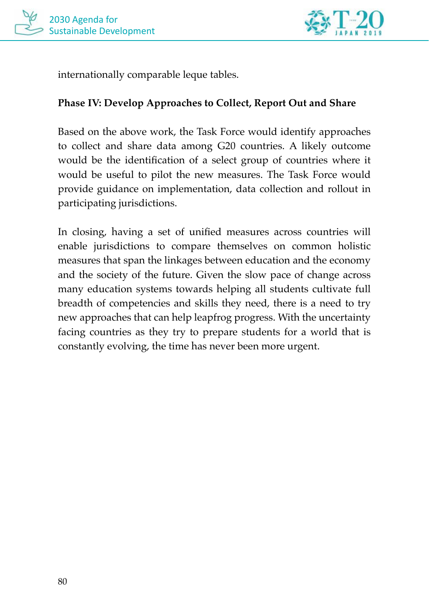



internationally comparable leque tables.

#### **Phase IV: Develop Approaches to Collect, Report Out and Share**

Based on the above work, the Task Force would identify approaches to collect and share data among G20 countries. A likely outcome would be the identification of a select group of countries where it would be useful to pilot the new measures. The Task Force would provide guidance on implementation, data collection and rollout in participating jurisdictions.

In closing, having a set of unified measures across countries will enable jurisdictions to compare themselves on common holistic measures that span the linkages between education and the economy and the society of the future. Given the slow pace of change across many education systems towards helping all students cultivate full breadth of competencies and skills they need, there is a need to try new approaches that can help leapfrog progress. With the uncertainty facing countries as they try to prepare students for a world that is constantly evolving, the time has never been more urgent.